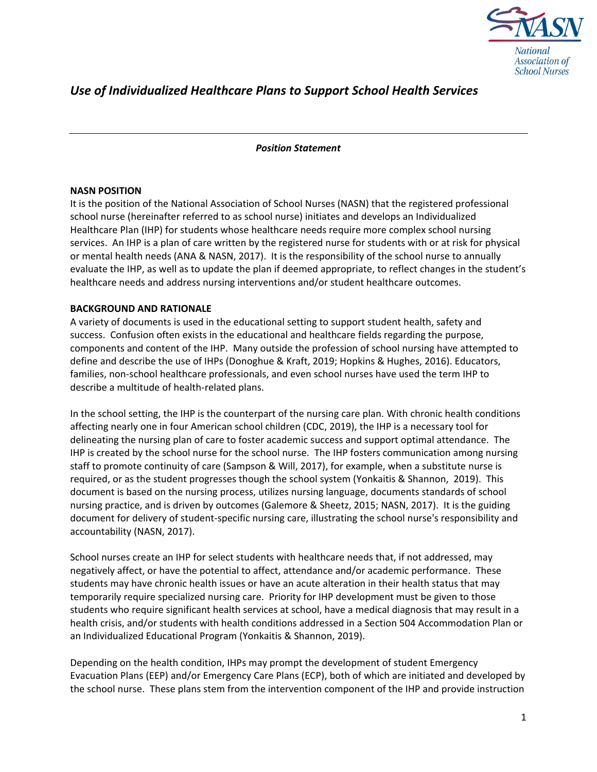

# *Use of Individualized Healthcare Plans to Support School Health Services*

#### *Position Statement*

#### **NASN POSITION**

It is the position of the National Association of School Nurses (NASN) that the registered professional school nurse (hereinafter referred to as school nurse) initiates and develops an Individualized Healthcare Plan (IHP) for students whose healthcare needs require more complex school nursing services. An IHP is a plan of care written by the registered nurse for students with or at risk for physical or mental health needs (ANA & NASN, 2017). It is the responsibility of the school nurse to annually evaluate the IHP, as well as to update the plan if deemed appropriate, to reflect changes in the student's healthcare needs and address nursing interventions and/or student healthcare outcomes.

### **BACKGROUND AND RATIONALE**

A variety of documents is used in the educational setting to support student health, safety and success. Confusion often exists in the educational and healthcare fields regarding the purpose, components and content of the IHP. Many outside the profession of school nursing have attempted to define and describe the use of IHPs (Donoghue & Kraft, 2019; Hopkins & Hughes, 2016). Educators, families, non-school healthcare professionals, and even school nurses have used the term IHP to describe a multitude of health-related plans.

In the school setting, the IHP is the counterpart of the nursing care plan. With chronic health conditions affecting nearly one in four American school children (CDC, 2019), the IHP is a necessary tool for delineating the nursing plan of care to foster academic success and support optimal attendance. The IHP is created by the school nurse for the school nurse. The IHP fosters communication among nursing staff to promote continuity of care (Sampson & Will, 2017), for example, when a substitute nurse is required, or as the student progresses though the school system (Yonkaitis & Shannon, 2019). This document is based on the nursing process, utilizes nursing language, documents standards of school nursing practice, and is driven by outcomes (Galemore & Sheetz, 2015; NASN, 2017). It is the guiding document for delivery of student-specific nursing care, illustrating the school nurse's responsibility and accountability (NASN, 2017).

School nurses create an IHP for select students with healthcare needs that, if not addressed, may negatively affect, or have the potential to affect, attendance and/or academic performance. These students may have chronic health issues or have an acute alteration in their health status that may temporarily require specialized nursing care. Priority for IHP development must be given to those students who require significant health services at school, have a medical diagnosis that may result in a health crisis, and/or students with health conditions addressed in a Section 504 Accommodation Plan or an Individualized Educational Program (Yonkaitis & Shannon, 2019).

Depending on the health condition, IHPs may prompt the development of student Emergency Evacuation Plans (EEP) and/or Emergency Care Plans (ECP), both of which are initiated and developed by the school nurse. These plans stem from the intervention component of the IHP and provide instruction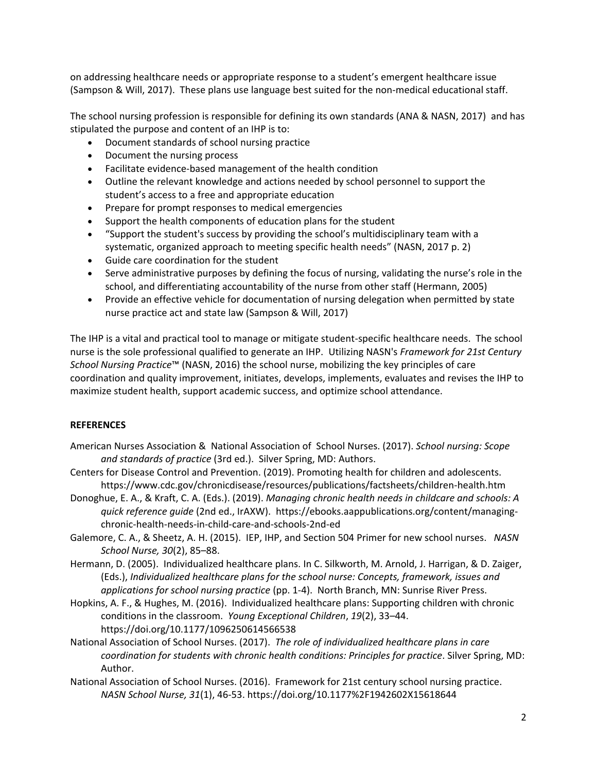on addressing healthcare needs or appropriate response to a student's emergent healthcare issue (Sampson & Will, 2017). These plans use language best suited for the non-medical educational staff.

The school nursing profession is responsible for defining its own standards (ANA & NASN, 2017) and has stipulated the purpose and content of an IHP is to:

- Document standards of school nursing practice
- Document the nursing process
- Facilitate evidence-based management of the health condition
- Outline the relevant knowledge and actions needed by school personnel to support the student's access to a free and appropriate education
- Prepare for prompt responses to medical emergencies
- Support the health components of education plans for the student
- "Support the student's success by providing the school's multidisciplinary team with a systematic, organized approach to meeting specific health needs" (NASN, 2017 p. 2)
- Guide care coordination for the student
- Serve administrative purposes by defining the focus of nursing, validating the nurse's role in the school, and differentiating accountability of the nurse from other staff (Hermann, 2005)
- Provide an effective vehicle for documentation of nursing delegation when permitted by state nurse practice act and state law (Sampson & Will, 2017)

The IHP is a vital and practical tool to manage or mitigate student-specific healthcare needs. The school nurse is the sole professional qualified to generate an IHP. Utilizing NASN's *Framework for 21st Century School Nursing Practice*™ (NASN, 2016) the school nurse, mobilizing the key principles of care coordination and quality improvement, initiates, develops, implements, evaluates and revises the IHP to maximize student health, support academic success, and optimize school attendance.

### **REFERENCES**

- American Nurses Association & National Association of School Nurses. (2017). *School nursing: Scope and standards of practice* (3rd ed.). Silver Spring, MD: Authors.
- Centers for Disease Control and Prevention. (2019). Promoting health for children and adolescents. <https://www.cdc.gov/chronicdisease/resources/publications/factsheets/children-health.htm>
- Donoghue, E. A., & Kraft, C. A. (Eds.). (2019). *Managing chronic health needs in childcare and schools: A quick reference guide* (2nd ed., IrAXW). https://ebooks.aappublications.org/content/managingchronic-health-needs-in-child-care-and-schools-2nd-ed
- Galemore, C. A., & Sheetz, A. H. (2015). IEP, IHP, and Section 504 Primer for new school nurses. *NASN School Nurse, 30*(2), 85–88.
- Hermann, D. (2005). Individualized healthcare plans. In C. Silkworth, M. Arnold, J. Harrigan, & D. Zaiger, (Eds.), *Individualized healthcare plans for the school nurse: Concepts, framework, issues and applications for school nursing practice* (pp. 1-4). North Branch, MN: Sunrise River Press.
- Hopkins, A. F., & Hughes, M. (2016). Individualized healthcare plans: Supporting children with chronic conditions in the classroom. *Young Exceptional Children*, *19*(2), 33–44. https://doi.org/10.1177/1096250614566538
- National Association of School Nurses. (2017). *The role of individualized healthcare plans in care coordination for students with chronic health conditions: Principles for practice*. Silver Spring, MD: Author.
- National Association of School Nurses. (2016). Framework for 21st century school nursing practice. *NASN School Nurse, 31*(1), 46-53. https://doi.org/10.1177%2F1942602X15618644